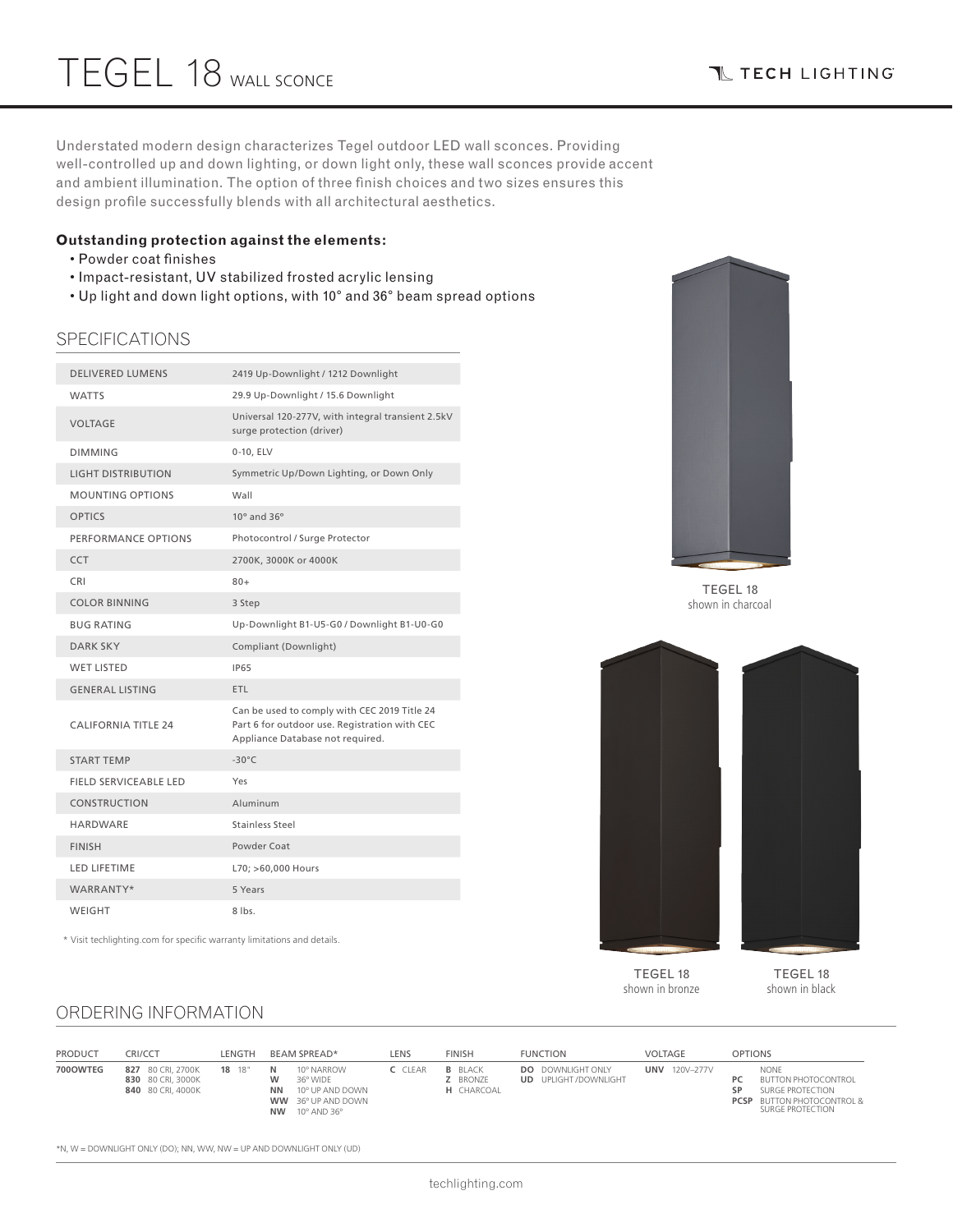Understated modern design characterizes Tegel outdoor LED wall sconces. Providing well-controlled up and down lighting, or down light only, these wall sconces provide accent and ambient illumination. The option of three finish choices and two sizes ensures this design profile successfully blends with all architectural aesthetics.

### **Outstanding protection against the elements:**

- Powder coat finishes
- Impact-resistant, UV stabilized frosted acrylic lensing
- Up light and down light options, with 10° and 36° beam spread options

### SPECIFICATIONS

| <b>DELIVERED LUMENS</b>    | 2419 Up-Downlight / 1212 Downlight                                                                                                |
|----------------------------|-----------------------------------------------------------------------------------------------------------------------------------|
| <b>WATTS</b>               | 29.9 Up-Downlight / 15.6 Downlight                                                                                                |
| <b>VOLTAGE</b>             | Universal 120-277V, with integral transient 2.5kV<br>surge protection (driver)                                                    |
| <b>DIMMING</b>             | 0-10, ELV                                                                                                                         |
| <b>LIGHT DISTRIBUTION</b>  | Symmetric Up/Down Lighting, or Down Only                                                                                          |
| <b>MOUNTING OPTIONS</b>    | Wall                                                                                                                              |
| <b>OPTICS</b>              | $10^{\circ}$ and $36^{\circ}$                                                                                                     |
| PERFORMANCE OPTIONS        | Photocontrol / Surge Protector                                                                                                    |
| CCT                        | 2700K, 3000K or 4000K                                                                                                             |
| <b>CRI</b>                 | $80+$                                                                                                                             |
| <b>COLOR BINNING</b>       | 3 Step                                                                                                                            |
| <b>BUG RATING</b>          | Up-Downlight B1-U5-G0 / Downlight B1-U0-G0                                                                                        |
| <b>DARK SKY</b>            | Compliant (Downlight)                                                                                                             |
| <b>WET LISTED</b>          | <b>IP65</b>                                                                                                                       |
| <b>GENERAL LISTING</b>     | ETL                                                                                                                               |
| <b>CALIFORNIA TITLE 24</b> | Can be used to comply with CEC 2019 Title 24<br>Part 6 for outdoor use. Registration with CEC<br>Appliance Database not required. |
| <b>START TEMP</b>          | $-30^{\circ}$ C                                                                                                                   |
| FIELD SERVICEABLE LED      | Yes                                                                                                                               |
| <b>CONSTRUCTION</b>        | Aluminum                                                                                                                          |
| HARDWARE                   | Stainless Steel                                                                                                                   |
| <b>FINISH</b>              | Powder Coat                                                                                                                       |
| <b>LED LIFETIME</b>        | L70; >60,000 Hours                                                                                                                |
| WARRANTY*                  | 5 Years                                                                                                                           |
| WEIGHT                     | $8$ lbs.                                                                                                                          |

TEGEL 18 shown in charcoal



TEGEL 18 shown in bronze

TEGEL 18 shown in black

## ORDERING INFORMATION

\* Visit techlighting.com for specific warranty limitations and details.

| <b>PRODUCT</b> | CRI/CCT                                                     | LENGTH | BEAM SPREAD*                                                                                                                            | LENS    | <b>FINISH</b>                                   | <b>FUNCTION</b>                                         | VOLTAGE              | <b>OPTIONS</b>                                                                                                                            |
|----------------|-------------------------------------------------------------|--------|-----------------------------------------------------------------------------------------------------------------------------------------|---------|-------------------------------------------------|---------------------------------------------------------|----------------------|-------------------------------------------------------------------------------------------------------------------------------------------|
| 700OWTEG       | 827 80 CRI. 2700K<br>830 80 CRI. 3000K<br>840 80 CRI. 4000K | 18 18" | 10° NARROW<br>N<br>36° WIDE<br>10° UP AND DOWN<br><b>NN</b><br><b>WW</b> 36° UP AND DOWN<br><b>NW</b><br>$10^{\circ}$ AND 36 $^{\circ}$ | C CLEAR | <b>B</b> BLACK<br>Z BRONZE<br><b>H</b> CHARCOAL | <b>DO</b> DOWNLIGHT ONLY<br><b>UD</b> UPLIGHT/DOWNLIGHT | <b>UNV</b> 120V-277V | <b>NONF</b><br><b>BUTTON PHOTOCONTROL</b><br>PC<br>SP<br>SURGE PROTECTION<br><b>PCSP</b> BUTTON PHOTOCONTROL &<br><b>SURGE PROTECTION</b> |

\*N, W = DOWNLIGHT ONLY (DO); NN, WW, NW = UP AND DOWNLIGHT ONLY (UD)